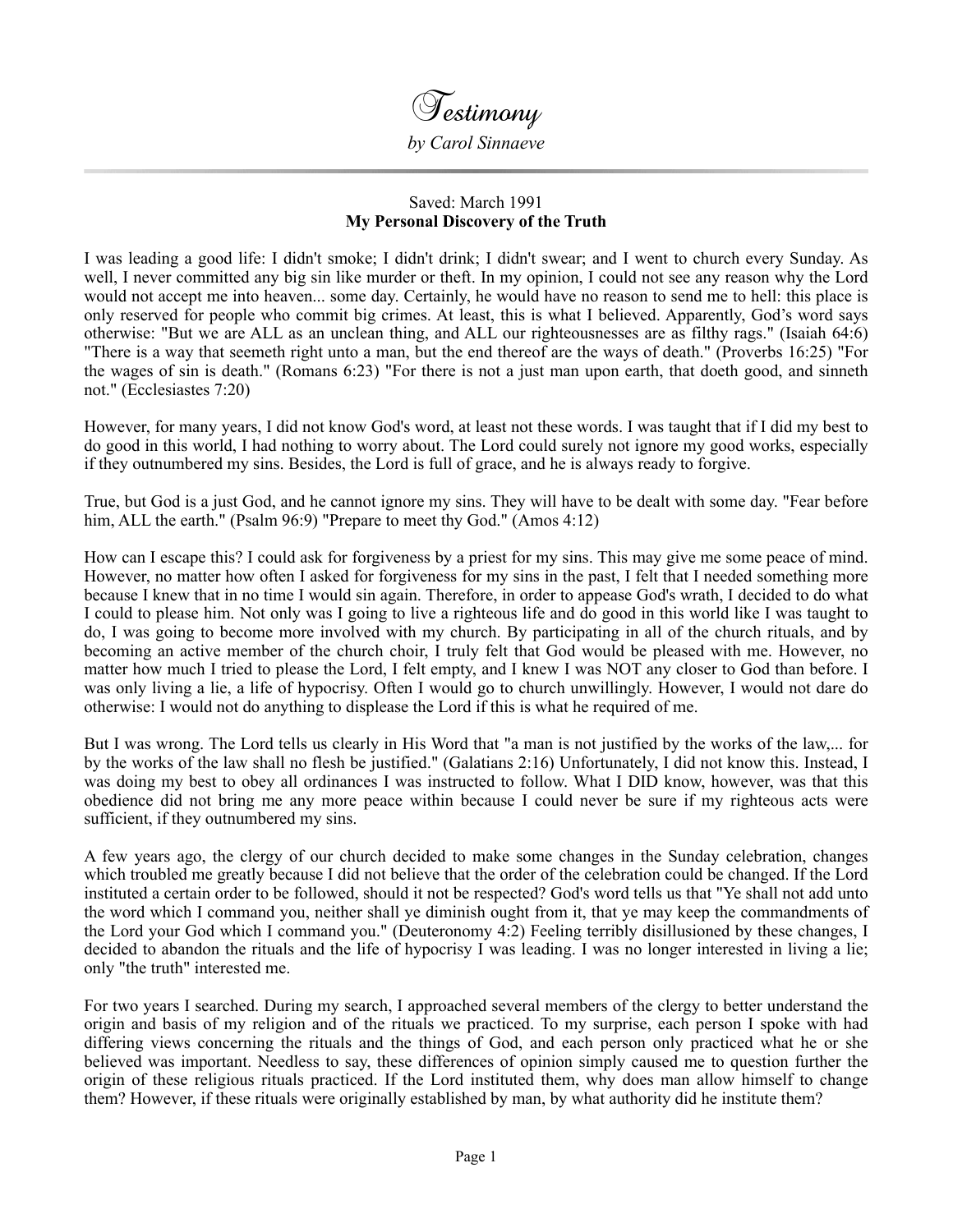

## Saved: March 1991 **My Personal Discovery of the Truth**

I was leading a good life: I didn't smoke; I didn't drink; I didn't swear; and I went to church every Sunday. As well, I never committed any big sin like murder or theft. In my opinion, I could not see any reason why the Lord would not accept me into heaven... some day. Certainly, he would have no reason to send me to hell: this place is only reserved for people who commit big crimes. At least, this is what I believed. Apparently, God's word says otherwise: "But we are ALL as an unclean thing, and ALL our righteousnesses are as filthy rags." (Isaiah 64:6) "There is a way that seemeth right unto a man, but the end thereof are the ways of death." (Proverbs 16:25) "For the wages of sin is death." (Romans 6:23) "For there is not a just man upon earth, that doeth good, and sinneth not." (Ecclesiastes 7:20)

However, for many years, I did not know God's word, at least not these words. I was taught that if I did my best to do good in this world, I had nothing to worry about. The Lord could surely not ignore my good works, especially if they outnumbered my sins. Besides, the Lord is full of grace, and he is always ready to forgive.

True, but God is a just God, and he cannot ignore my sins. They will have to be dealt with some day. "Fear before him, ALL the earth." (Psalm 96:9) "Prepare to meet thy God." (Amos 4:12)

How can I escape this? I could ask for forgiveness by a priest for my sins. This may give me some peace of mind. However, no matter how often I asked for forgiveness for my sins in the past, I felt that I needed something more because I knew that in no time I would sin again. Therefore, in order to appease God's wrath, I decided to do what I could to please him. Not only was I going to live a righteous life and do good in this world like I was taught to do, I was going to become more involved with my church. By participating in all of the church rituals, and by becoming an active member of the church choir, I truly felt that God would be pleased with me. However, no matter how much I tried to please the Lord, I felt empty, and I knew I was NOT any closer to God than before. I was only living a lie, a life of hypocrisy. Often I would go to church unwillingly. However, I would not dare do otherwise: I would not do anything to displease the Lord if this is what he required of me.

But I was wrong. The Lord tells us clearly in His Word that "a man is not justified by the works of the law,... for by the works of the law shall no flesh be justified." (Galatians 2:16) Unfortunately, I did not know this. Instead, I was doing my best to obey all ordinances I was instructed to follow. What I DID know, however, was that this obedience did not bring me any more peace within because I could never be sure if my righteous acts were sufficient, if they outnumbered my sins.

A few years ago, the clergy of our church decided to make some changes in the Sunday celebration, changes which troubled me greatly because I did not believe that the order of the celebration could be changed. If the Lord instituted a certain order to be followed, should it not be respected? God's word tells us that "Ye shall not add unto the word which I command you, neither shall ye diminish ought from it, that ye may keep the commandments of the Lord your God which I command you." (Deuteronomy 4:2) Feeling terribly disillusioned by these changes, I decided to abandon the rituals and the life of hypocrisy I was leading. I was no longer interested in living a lie; only "the truth" interested me.

For two years I searched. During my search, I approached several members of the clergy to better understand the origin and basis of my religion and of the rituals we practiced. To my surprise, each person I spoke with had differing views concerning the rituals and the things of God, and each person only practiced what he or she believed was important. Needless to say, these differences of opinion simply caused me to question further the origin of these religious rituals practiced. If the Lord instituted them, why does man allow himself to change them? However, if these rituals were originally established by man, by what authority did he institute them?